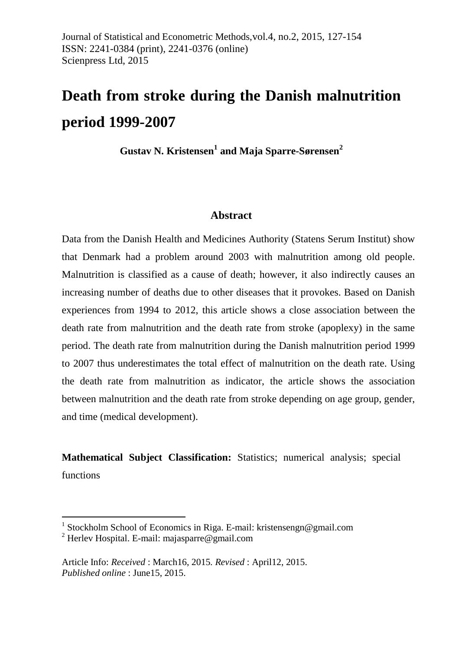# **Death from stroke during the Danish malnutrition period 1999-2007**

**Gustav N. Kristensen<sup>1</sup> and Maja Sparre-Sørensen<sup>2</sup>**

## **Abstract**

Data from the Danish Health and Medicines Authority (Statens Serum Institut) show that Denmark had a problem around 2003 with malnutrition among old people. Malnutrition is classified as a cause of death; however, it also indirectly causes an increasing number of deaths due to other diseases that it provokes. Based on Danish experiences from 1994 to 2012, this article shows a close association between the death rate from malnutrition and the death rate from stroke (apoplexy) in the same period. The death rate from malnutrition during the Danish malnutrition period 1999 to 2007 thus underestimates the total effect of malnutrition on the death rate. Using the death rate from malnutrition as indicator, the article shows the association between malnutrition and the death rate from stroke depending on age group, gender, and time (medical development).

**Mathematical Subject Classification:** Statistics; numerical analysis; special functions

 $\overline{a}$ 

<sup>&</sup>lt;sup>1</sup> Stockholm School of Economics in Riga. E-mail: kristensengn@gmail.com

<sup>&</sup>lt;sup>2</sup> Herlev Hospital. E-mail: [majasparre@gmail.com](mailto:majasparre@gmail.com)

Article Info: *Received* : March16, 2015*. Revised* : April12, 2015. *Published online* : June15, 2015.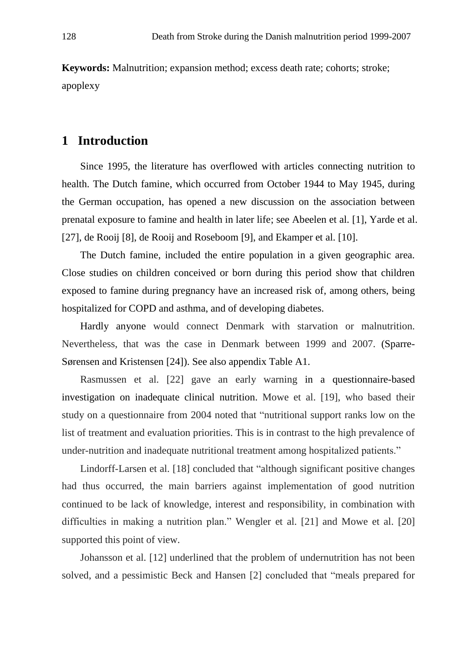**Keywords:** Malnutrition; expansion method; excess death rate; cohorts; stroke; apoplexy

## **1 Introduction**

Since 1995, the literature has overflowed with articles connecting nutrition to health. The Dutch famine, which occurred from October 1944 to May 1945, during the German occupation, has opened a new discussion on the association between prenatal exposure to famine and health in later life; see Abeelen et al. [1], Yarde et al. [27], de Rooij [8], de Rooij and Roseboom [9], and Ekamper et al. [10].

The Dutch famine, included the entire population in a given geographic area. Close studies on children conceived or born during this period show that children exposed to famine during pregnancy have an increased risk of, among others, being hospitalized for COPD and asthma, and of developing diabetes.

Hardly anyone would connect Denmark with starvation or malnutrition. Nevertheless, that was the case in Denmark between 1999 and 2007. (Sparre-Sørensen and Kristensen [24]). See also appendix Table A1.

Rasmussen et al. [22] gave an early warning in a questionnaire-based investigation on inadequate clinical nutrition. Mowe et al. [19], who based their study on a questionnaire from 2004 noted that "nutritional support ranks low on the list of treatment and evaluation priorities. This is in contrast to the high prevalence of under-nutrition and inadequate nutritional treatment among hospitalized patients."

Lindorff-Larsen et al. [18] concluded that "although significant positive changes had thus occurred, the main barriers against implementation of good nutrition continued to be lack of knowledge, interest and responsibility, in combination with difficulties in making a nutrition plan." Wengler et al. [21] and Mowe et al. [20] supported this point of view.

Johansson et al. [12] underlined that the problem of undernutrition has not been solved, and a pessimistic Beck and Hansen [2] concluded that "meals prepared for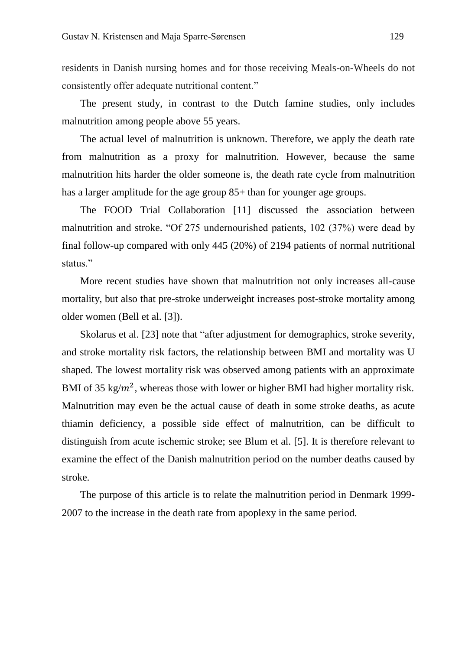residents in Danish nursing homes and for those receiving Meals-on-Wheels do not consistently offer adequate nutritional content."

The present study, in contrast to the Dutch famine studies, only includes malnutrition among people above 55 years.

The actual level of malnutrition is unknown. Therefore, we apply the death rate from malnutrition as a proxy for malnutrition. However, because the same malnutrition hits harder the older someone is, the death rate cycle from malnutrition has a larger amplitude for the age group 85+ than for younger age groups.

The FOOD Trial Collaboration [11] discussed the association between malnutrition and stroke. "Of 275 undernourished patients, 102 (37%) were dead by final follow-up compared with only 445 (20%) of 2194 patients of normal nutritional status."

More recent studies have shown that malnutrition not only increases all-cause mortality, but also that pre-stroke underweight increases post-stroke mortality among older women (Bell et al. [3]).

Skolarus et al. [23] note that "after adjustment for demographics, stroke severity, and stroke mortality risk factors, the relationship between BMI and mortality was U shaped. The lowest mortality risk was observed among patients with an approximate BMI of 35 kg/ $m^2$ , whereas those with lower or higher BMI had higher mortality risk. Malnutrition may even be the actual cause of death in some stroke deaths, as acute thiamin deficiency, a possible side effect of malnutrition, can be difficult to distinguish from acute ischemic stroke; see Blum et al. [5]. It is therefore relevant to examine the effect of the Danish malnutrition period on the number deaths caused by stroke.

The purpose of this article is to relate the malnutrition period in Denmark 1999- 2007 to the increase in the death rate from apoplexy in the same period.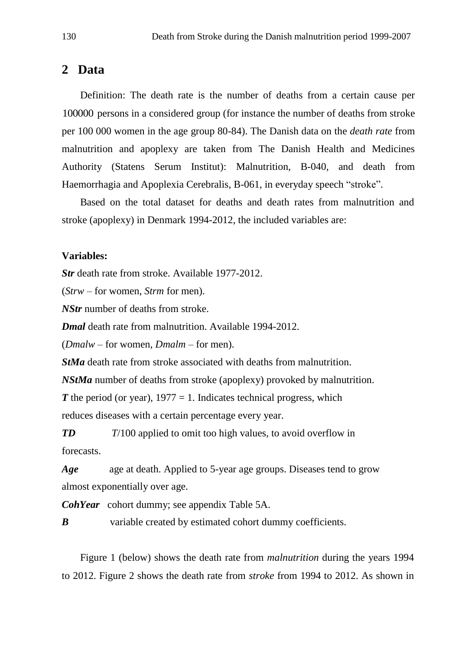## **2 Data**

Definition: The death rate is the number of deaths from a certain cause per 100000 persons in a considered group (for instance the number of deaths from stroke per 100 000 women in the age group 80-84). The Danish data on the *death rate* from malnutrition and apoplexy are taken from The Danish Health and Medicines Authority (Statens Serum Institut): Malnutrition, B-040, and death from Haemorrhagia and Apoplexia Cerebralis, B-061, in everyday speech "stroke".

Based on the total dataset for deaths and death rates from malnutrition and stroke (apoplexy) in Denmark 1994-2012, the included variables are:

#### **Variables:**

*Str* death rate from stroke. Available 1977-2012.

(*Strw* – for women, *Strm* for men).

*NStr* number of deaths from stroke.

*Dmal* death rate from malnutrition. Available 1994-2012.

(*Dmalw* – for women, *Dmalm* – for men).

*StMa* death rate from stroke associated with deaths from malnutrition.

*NStMa* number of deaths from stroke (apoplexy) provoked by malnutrition.

 $T$  the period (or year),  $1977 = 1$ . Indicates technical progress, which

reduces diseases with a certain percentage every year.

*TD T*/100 applied to omit too high values, to avoid overflow in forecasts.

*Age* age at death. Applied to 5-year age groups. Diseases tend to grow almost exponentially over age.

*CohYear* cohort dummy; see appendix Table 5A.

*B* variable created by estimated cohort dummy coefficients.

Figure 1 (below) shows the death rate from *malnutrition* during the years 1994 to 2012. Figure 2 shows the death rate from *stroke* from 1994 to 2012. As shown in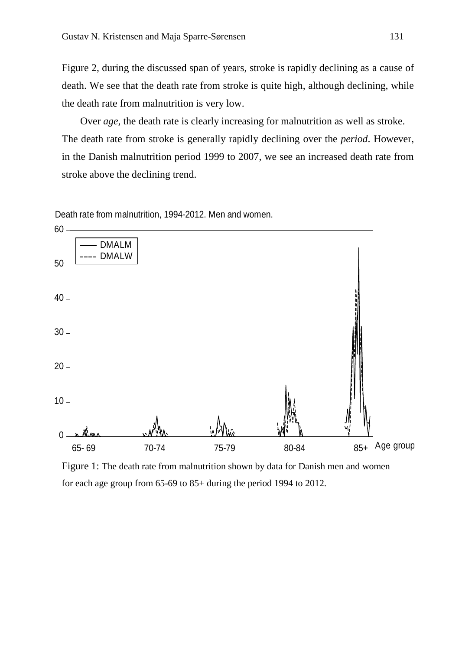Figure 2, during the discussed span of years, stroke is rapidly declining as a cause of death. We see that the death rate from stroke is quite high, although declining, while the death rate from malnutrition is very low.

Over *age,* the death rate is clearly increasing for malnutrition as well as stroke. The death rate from stroke is generally rapidly declining over the *period*. However, in the Danish malnutrition period 1999 to 2007, we see an increased death rate from stroke above the declining trend.

Death rate from malnutrition, 1994-2012. Men and women.



Figure 1: The death rate from malnutrition shown by data for Danish men and women for each age group from 65-69 to 85+ during the period 1994 to 2012.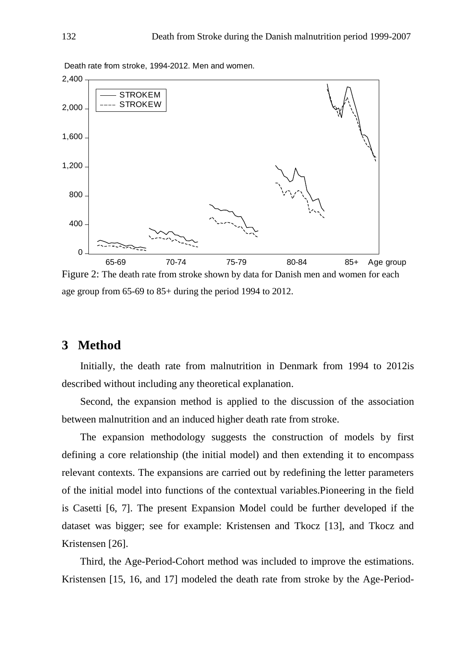

Death rate from stroke, 1994-2012. Men and women.

Figure 2: The death rate from stroke shown by data for Danish men and women for each age group from 65-69 to 85+ during the period 1994 to 2012.

## **3 Method**

Initially, the death rate from malnutrition in Denmark from 1994 to 2012is described without including any theoretical explanation.

Second, the expansion method is applied to the discussion of the association between malnutrition and an induced higher death rate from stroke.

The expansion methodology suggests the construction of models by first defining a core relationship (the initial model) and then extending it to encompass relevant contexts. The expansions are carried out by redefining the letter parameters of the initial model into functions of the contextual variables.Pioneering in the field is Casetti [6, 7]. The present Expansion Model could be further developed if the dataset was bigger; see for example: Kristensen and Tkocz [13], and Tkocz and Kristensen [26].

Third, the Age-Period-Cohort method was included to improve the estimations. Kristensen [15, 16, and 17] modeled the death rate from stroke by the Age-Period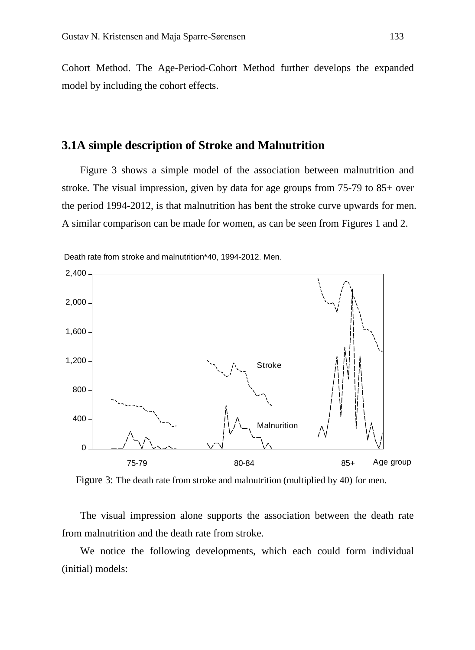Cohort Method. The Age-Period-Cohort Method further develops the expanded model by including the cohort effects.

## **3.1A simple description of Stroke and Malnutrition**

Figure 3 shows a simple model of the association between malnutrition and stroke. The visual impression, given by data for age groups from 75-79 to 85+ over the period 1994-2012, is that malnutrition has bent the stroke curve upwards for men. A similar comparison can be made for women, as can be seen from Figures 1 and 2.



Death rate from stroke and malnutrition\*40, 1994-2012. Men.

Figure 3: The death rate from stroke and malnutrition (multiplied by 40) for men.

The visual impression alone supports the association between the death rate from malnutrition and the death rate from stroke.

We notice the following developments, which each could form individual (initial) models: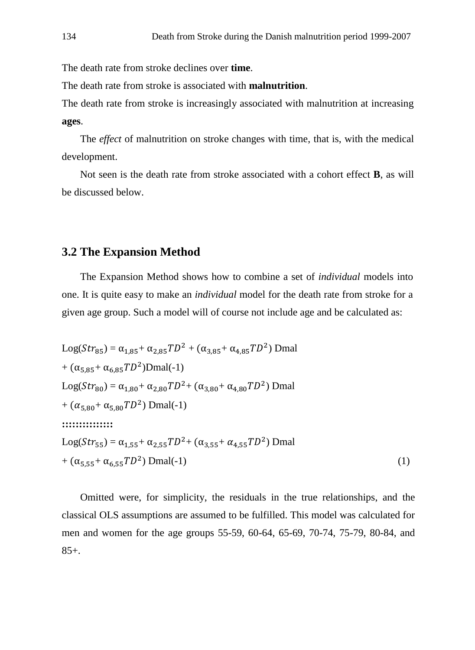The death rate from stroke declines over **time**.

The death rate from stroke is associated with **malnutrition**.

The death rate from stroke is increasingly associated with malnutrition at increasing **ages**.

The *effect* of malnutrition on stroke changes with time, that is, with the medical development.

Not seen is the death rate from stroke associated with a cohort effect **B**, as will be discussed below.

## **3.2 The Expansion Method**

The Expansion Method shows how to combine a set of *individual* models into one. It is quite easy to make an *individual* model for the death rate from stroke for a given age group. Such a model will of course not include age and be calculated as:

Log(
$$
Str_{85}
$$
) =  $\alpha_{1,85}$ +  $\alpha_{2,85}TD^2$  + ( $\alpha_{3,85}$ +  $\alpha_{4,85}TD^2$ ) Dmal  
+ ( $\alpha_{5,85}$ +  $\alpha_{6,85}TD^2$ )Dmal(-1)  
Log( $Str_{80}$ ) =  $\alpha_{1,80}$ +  $\alpha_{2,80}TD^2$ + ( $\alpha_{3,80}$ +  $\alpha_{4,80}TD^2$ ) Dmal  
+ ( $\alpha_{5,80}$ +  $\alpha_{5,80}TD^2$ ) Dmal(-1)  
...  
...  
Log( $Str_{55}$ ) =  $\alpha_{1,55}$ +  $\alpha_{2,55}TD^2$ + ( $\alpha_{3,55}$ +  $\alpha_{4,55}TD^2$ ) Dmal  
+ ( $\alpha_{5,55}$ +  $\alpha_{6,55}TD^2$ ) Dmal(-1) (1)

Omitted were, for simplicity, the residuals in the true relationships, and the classical OLS assumptions are assumed to be fulfilled. This model was calculated for men and women for the age groups 55-59, 60-64, 65-69, 70-74, 75-79, 80-84, and  $85+$ .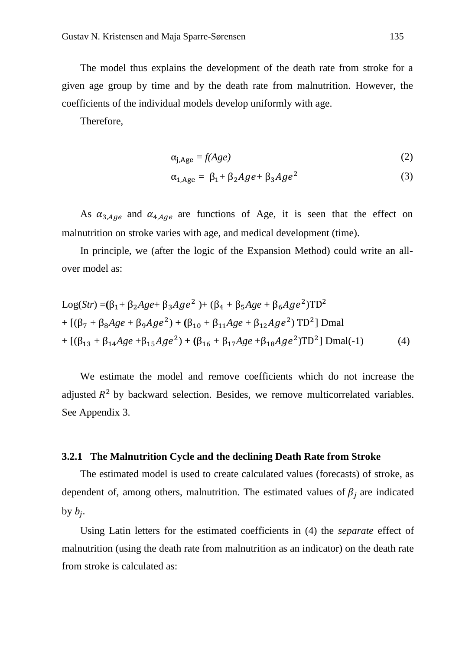The model thus explains the development of the death rate from stroke for a given age group by time and by the death rate from malnutrition. However, the coefficients of the individual models develop uniformly with age.

Therefore,

$$
\alpha_{j, \text{Age}} = f(Age) \tag{2}
$$

$$
\alpha_{1,\text{Age}} = \beta_1 + \beta_2 Age + \beta_3 Age^2 \tag{3}
$$

As  $\alpha_{3,Age}$  and  $\alpha_{4, Age}$  are functions of Age, it is seen that the effect on malnutrition on stroke varies with age, and medical development (time).

In principle, we (after the logic of the Expansion Method) could write an allover model as:

Log(Str) = 
$$
(\beta_1 + \beta_2 Age + \beta_3Age^2) + (\beta_4 + \beta_5 Age + \beta_6Age^2)TD^2
$$
  
+  $[(\beta_7 + \beta_8 Age + \beta_9Age^2) + (\beta_{10} + \beta_{11} Age + \beta_{12}Age^2) TD^2]$ Dmal  
+  $[(\beta_{13} + \beta_{14} Age + \beta_{15}Age^2) + (\beta_{16} + \beta_{17} Age + \beta_{18} Age^2)TD^2]$ Dmal(-1) (4)

We estimate the model and remove coefficients which do not increase the adjusted  $R^2$  by backward selection. Besides, we remove multicorrelated variables. See Appendix 3.

#### **3.2.1 The Malnutrition Cycle and the declining Death Rate from Stroke**

The estimated model is used to create calculated values (forecasts) of stroke, as dependent of, among others, malnutrition. The estimated values of  $\beta_j$  are indicated by  $b_j$ .

Using Latin letters for the estimated coefficients in (4) the *separate* effect of malnutrition (using the death rate from malnutrition as an indicator) on the death rate from stroke is calculated as: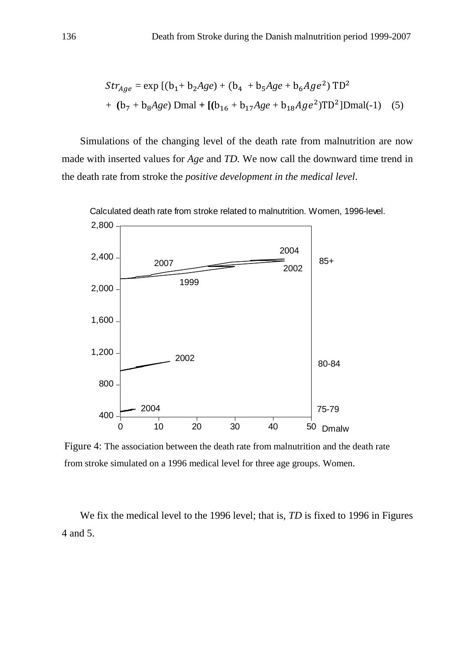$$
Str_{Age} = \exp [(b_1 + b_2 Age) + (b_4 + b_5Age + b_6Age^2) TD^2
$$
  
+ (b<sub>7</sub> + b<sub>8</sub>Age) Dmal + [(b<sub>16</sub> + b<sub>17</sub>Age + b<sub>18</sub>Age<sup>2</sup>)TD<sup>2</sup>]Dmal(-1) (5)

Simulations of the changing level of the death rate from malnutrition are now made with inserted values for *Age* and *TD.* We now call the downward time trend in the death rate from stroke the *positive development in the medical level*.



Figure 4: The association between the death rate from malnutrition and the death rate from stroke simulated on a 1996 medical level for three age groups. Women.

We fix the medical level to the 1996 level; that is, *TD* is fixed to 1996 in Figures 4 and 5.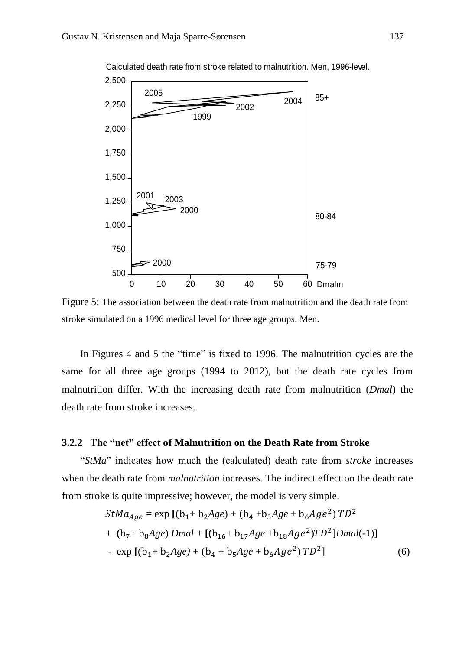

Figure 5: The association between the death rate from malnutrition and the death rate from stroke simulated on a 1996 medical level for three age groups. Men.

In Figures 4 and 5 the "time" is fixed to 1996. The malnutrition cycles are the same for all three age groups (1994 to 2012), but the death rate cycles from malnutrition differ. With the increasing death rate from malnutrition (*Dmal*) the death rate from stroke increases.

#### **3.2.2 The "net" effect of Malnutrition on the Death Rate from Stroke**

"*StMa*" indicates how much the (calculated) death rate from *stroke* increases when the death rate from *malnutrition* increases. The indirect effect on the death rate from stroke is quite impressive; however, the model is very simple.

$$
StMa_{Age} = \exp [(b_1 + b_2 Age) + (b_4 + b_5Age + b_6Age^2) TD^2
$$
  
+ (b<sub>7</sub> + b<sub>8</sub>Age) Dmal + [(b<sub>16</sub> + b<sub>17</sub>Age + b<sub>18</sub>Age<sup>2</sup>)TD<sup>2</sup>]Dmal(-1)]  
- exp [(b<sub>1</sub> + b<sub>2</sub>Age) + (b<sub>4</sub> + b<sub>5</sub>Age + b<sub>6</sub>Age<sup>2</sup>) TD<sup>2</sup>] (6)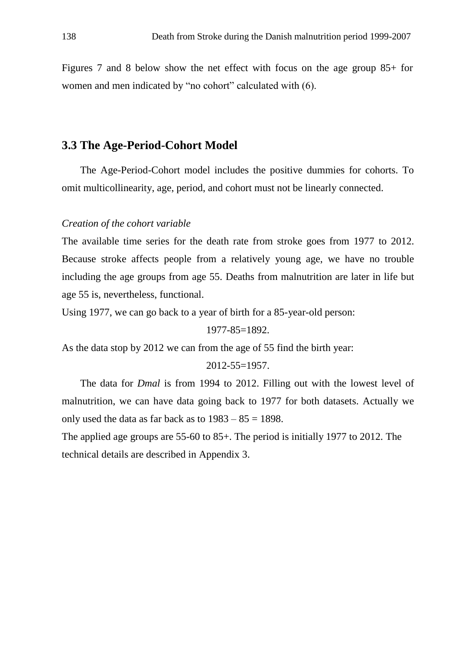Figures 7 and 8 below show the net effect with focus on the age group 85+ for women and men indicated by "no cohort" calculated with (6).

## **3.3 The Age-Period-Cohort Model**

The Age-Period-Cohort model includes the positive dummies for cohorts. To omit multicollinearity, age, period, and cohort must not be linearly connected.

#### *Creation of the cohort variable*

The available time series for the death rate from stroke goes from 1977 to 2012. Because stroke affects people from a relatively young age, we have no trouble including the age groups from age 55. Deaths from malnutrition are later in life but age 55 is, nevertheless, functional.

Using 1977, we can go back to a year of birth for a 85-year-old person:

1977-85=1892.

As the data stop by 2012 we can from the age of 55 find the birth year:

#### 2012-55=1957.

The data for *Dmal* is from 1994 to 2012. Filling out with the lowest level of malnutrition, we can have data going back to 1977 for both datasets. Actually we only used the data as far back as to  $1983 - 85 = 1898$ .

The applied age groups are 55-60 to 85+. The period is initially 1977 to 2012. The technical details are described in Appendix 3.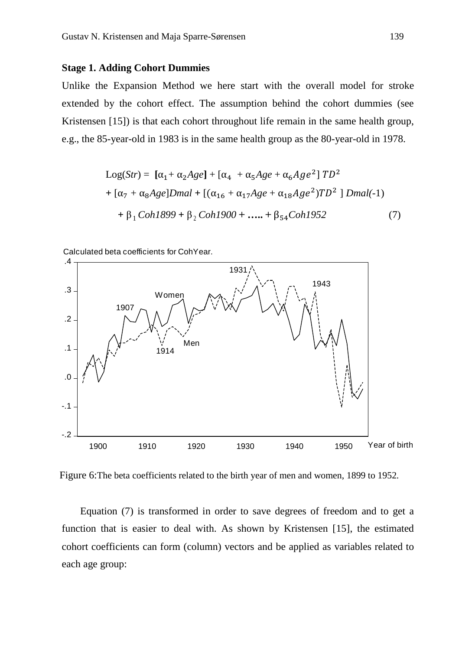#### **Stage 1. Adding Cohort Dummies**

Unlike the Expansion Method we here start with the overall model for stroke extended by the cohort effect. The assumption behind the cohort dummies (see Kristensen [15]) is that each cohort throughout life remain in the same health group, e.g., the 85-year-old in 1983 is in the same health group as the 80-year-old in 1978.

Log(*Str*) = **[**α1+ α2*Age***]** + [α4 + α5*Age* + α6<sup>2</sup> ] <sup>2</sup> **+** [α<sup>7</sup> + α8*Age*]*Dmal* **+** [(α<sup>16</sup> + α17*Age* + α18<sup>2</sup> )<sup>2</sup> ] *Dmal(*-1) **+** β 1 *Coh1899* **+** β 2 *Coh1900* **+ ….. +** β54*Coh1952* (7)

Calculated beta coefficients for CohYear.



Figure 6:The beta coefficients related to the birth year of men and women, 1899 to 1952.

Equation (7) is transformed in order to save degrees of freedom and to get a function that is easier to deal with. As shown by Kristensen [15], the estimated cohort coefficients can form (column) vectors and be applied as variables related to each age group: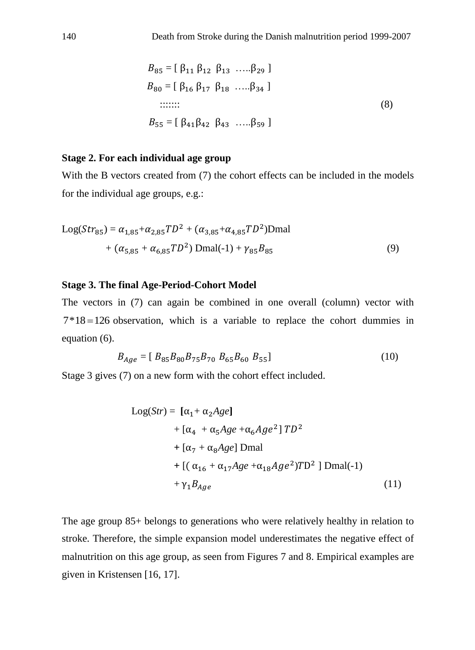$$
B_{85} = [\beta_{11} \beta_{12} \beta_{13} \dots \beta_{29}]
$$
  
\n
$$
B_{80} = [\beta_{16} \beta_{17} \beta_{18} \dots \beta_{34}]
$$
  
\n
$$
\dots
$$
  
\n
$$
B_{55} = [\beta_{41} \beta_{42} \beta_{43} \dots \beta_{59}]
$$
  
\n(8)

#### **Stage 2. For each individual age group**

With the B vectors created from (7) the cohort effects can be included in the models for the individual age groups, e.g.:

Log
$$
(Str_{85}) = \alpha_{1,85} + \alpha_{2,85} TD^2 + (\alpha_{3,85} + \alpha_{4,85} TD^2)
$$
Dmal  
+  $(\alpha_{5,85} + \alpha_{6,85} TD^2)$ Dmal(-1) +  $\gamma_{85} B_{85}$  (9)

### **Stage 3. The final Age-Period-Cohort Model**

The vectors in (7) can again be combined in one overall (column) vector with  $7*18 = 126$  observation, which is a variable to replace the cohort dummies in equation (6).

$$
B_{Age} = [B_{85}B_{80}B_{75}B_{70}B_{65}B_{60}B_{55}] \tag{10}
$$

Stage 3 gives (7) on a new form with the cohort effect included.

$$
Log(Str) = [\alpha_1 + \alpha_2 Age]
$$
  
+  $[\alpha_4 + \alpha_5Age + \alpha_6Age^2]$   $TD^2$   
+  $[\alpha_7 + \alpha_8Age]$  Dmal  
+  $[(\alpha_{16} + \alpha_{17}Age + \alpha_{18}Age^2)TD^2]$  Dmal(-1)  
+  $\gamma_1 B_{Age}$  (11)

The age group 85+ belongs to generations who were relatively healthy in relation to stroke. Therefore, the simple expansion model underestimates the negative effect of malnutrition on this age group, as seen from Figures 7 and 8. Empirical examples are given in Kristensen [16, 17].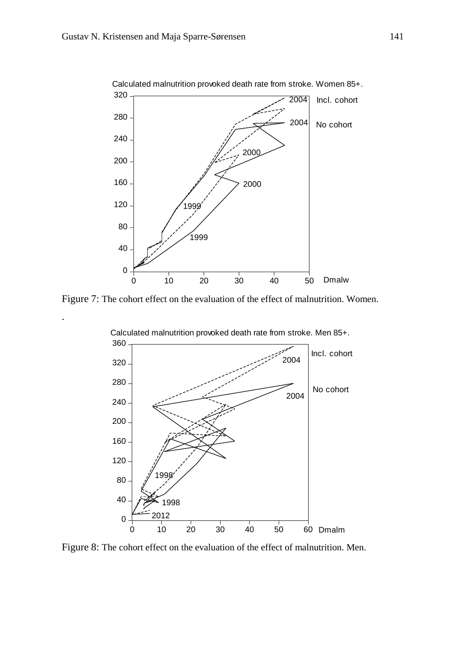.



Calculated malnutrition provoked death rate from stroke. Women 85+.

Figure 7: The cohort effect on the evaluation of the effect of malnutrition. Women.



Figure 8: The cohort effect on the evaluation of the effect of malnutrition. Men.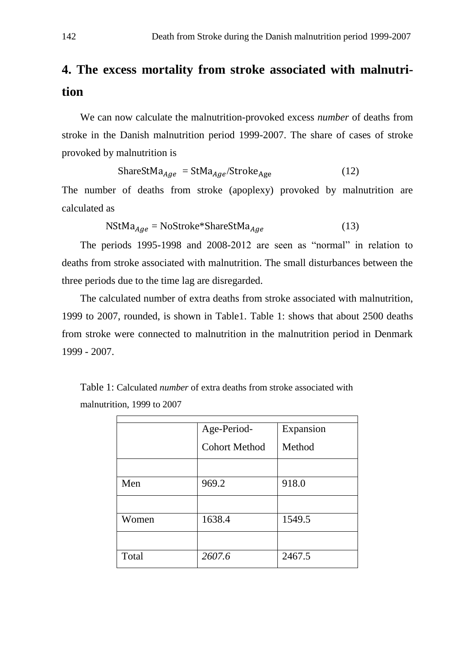## **4. The excess mortality from stroke associated with malnutrition**

We can now calculate the malnutrition-provoked excess *number* of deaths from stroke in the Danish malnutrition period 1999-2007. The share of cases of stroke provoked by malnutrition is

$$
ShareStMa_{Age} = StMa_{Age}/Stroke_{Age}
$$
 (12)

The number of deaths from stroke (apoplexy) provoked by malnutrition are calculated as

$$
NStMa_{Age} = NoStroke*ShareStMa_{Age}
$$
 (13)

The periods 1995-1998 and 2008-2012 are seen as "normal" in relation to deaths from stroke associated with malnutrition. The small disturbances between the three periods due to the time lag are disregarded.

The calculated number of extra deaths from stroke associated with malnutrition, 1999 to 2007, rounded, is shown in Table1. Table 1: shows that about 2500 deaths from stroke were connected to malnutrition in the malnutrition period in Denmark 1999 - 2007.

| Table 1: Calculated <i>number</i> of extra deaths from stroke associated with |  |
|-------------------------------------------------------------------------------|--|
| malnutrition, 1999 to 2007                                                    |  |

|       | Age-Period-          | Expansion |  |  |  |
|-------|----------------------|-----------|--|--|--|
|       | <b>Cohort Method</b> | Method    |  |  |  |
|       |                      |           |  |  |  |
| Men   | 969.2                | 918.0     |  |  |  |
|       |                      |           |  |  |  |
| Women | 1638.4               | 1549.5    |  |  |  |
|       |                      |           |  |  |  |
| Total | 2607.6               | 2467.5    |  |  |  |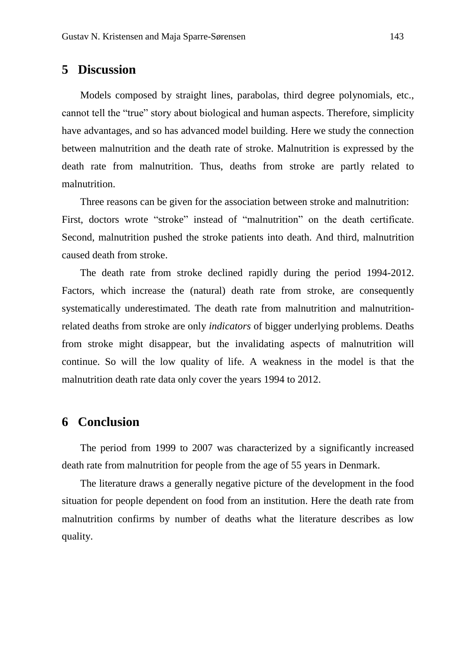## **5 Discussion**

Models composed by straight lines, parabolas, third degree polynomials, etc., cannot tell the "true" story about biological and human aspects. Therefore, simplicity have advantages, and so has advanced model building. Here we study the connection between malnutrition and the death rate of stroke. Malnutrition is expressed by the death rate from malnutrition. Thus, deaths from stroke are partly related to malnutrition.

Three reasons can be given for the association between stroke and malnutrition: First, doctors wrote "stroke" instead of "malnutrition" on the death certificate. Second, malnutrition pushed the stroke patients into death. And third, malnutrition caused death from stroke.

The death rate from stroke declined rapidly during the period 1994-2012. Factors, which increase the (natural) death rate from stroke, are consequently systematically underestimated. The death rate from malnutrition and malnutritionrelated deaths from stroke are only *indicators* of bigger underlying problems. Deaths from stroke might disappear, but the invalidating aspects of malnutrition will continue. So will the low quality of life. A weakness in the model is that the malnutrition death rate data only cover the years 1994 to 2012.

## **6 Conclusion**

The period from 1999 to 2007 was characterized by a significantly increased death rate from malnutrition for people from the age of 55 years in Denmark.

The literature draws a generally negative picture of the development in the food situation for people dependent on food from an institution. Here the death rate from malnutrition confirms by number of deaths what the literature describes as low quality.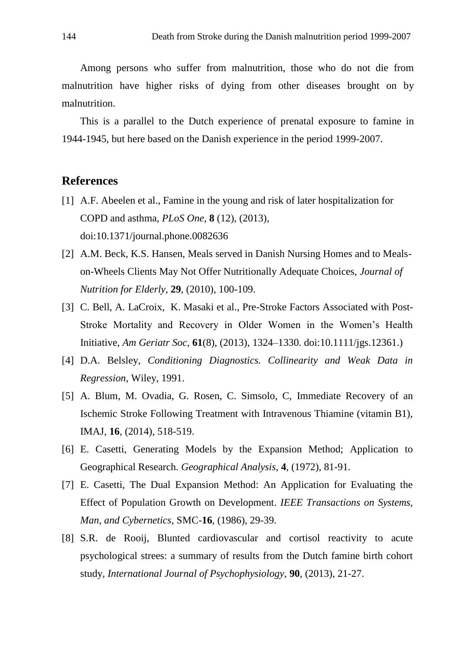Among persons who suffer from malnutrition, those who do not die from malnutrition have higher risks of dying from other diseases brought on by malnutrition.

This is a parallel to the Dutch experience of prenatal exposure to famine in 1944-1945, but here based on the Danish experience in the period 1999-2007.

## **References**

- [1] A.F. Abeelen et al., Famine in the young and risk of later hospitalization for COPD and asthma, *PLoS One*, **8** (12), (2013), doi:10.1371/journal.phone.0082636
- [2] A.M. Beck, K.S. Hansen, Meals served in Danish Nursing Homes and to Mealson-Wheels Clients May Not Offer Nutritionally Adequate Choices, *Journal of Nutrition for Elderly*, **29**, (2010), 100-109.
- [3] C. Bell, A. LaCroix, K. Masaki et al., Pre-Stroke Factors Associated with Post-Stroke Mortality and Recovery in Older Women in the Women's Health Initiative, *Am Geriatr Soc*, **61**(8), (2013), 1324–1330. doi:10.1111/jgs.12361.)
- [4] D.A. Belsley, *Conditioning Diagnostics. Collinearity and Weak Data in Regression*, Wiley, 1991.
- [5] A. Blum, M. Ovadia, G. Rosen, C. Simsolo, C, Immediate Recovery of an Ischemic Stroke Following Treatment with Intravenous Thiamine (vitamin B1), IMAJ, **16**, (2014), 518-519.
- [6] E. Casetti, Generating Models by the Expansion Method; Application to Geographical Research. *Geographical Analysis*, **4**, (1972), 81-91.
- [7] E. Casetti, The Dual Expansion Method: An Application for Evaluating the Effect of Population Growth on Development. *IEEE Transactions on Systems, Man, and Cybernetics*, SMC-**16**, (1986), 29-39.
- [8] S.R. de Rooij, Blunted cardiovascular and cortisol reactivity to acute psychological strees: a summary of results from the Dutch famine birth cohort study, *International Journal of Psychophysiology*, **90**, (2013), 21-27.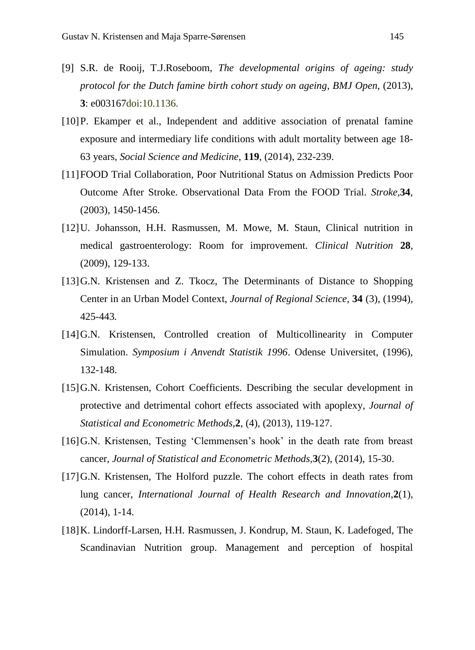- [9] S.R. de Rooij, T.J.Roseboom, *The developmental origins of ageing: study protocol for the Dutch famine birth cohort study on ageing*, *BMJ Open*, (2013), **3**: e003167doi:10.1136.
- [10]P. Ekamper et al., Independent and additive association of prenatal famine exposure and intermediary life conditions with adult mortality between age 18- 63 years, *Social Science and Medicine*, **119**, (2014), 232-239.
- [11]FOOD Trial Collaboration, Poor Nutritional Status on Admission Predicts Poor Outcome After Stroke. Observational Data From the FOOD Trial. *Stroke,***34**, (2003), 1450-1456.
- [12]U. Johansson, H.H. Rasmussen, M. Mowe, M. Staun, Clinical nutrition in medical gastroenterology: Room for improvement. *Clinical Nutrition* **28**, (2009), 129-133.
- [13] G.N. Kristensen and Z. Tkocz, The Determinants of Distance to Shopping Center in an Urban Model Context, *Journal of Regional Science,* **34** (3), (1994), 425-443*.*
- [14]G.N. Kristensen, Controlled creation of Multicollinearity in Computer Simulation. *Symposium i Anvendt Statistik 1996*. Odense Universitet, (1996), 132-148.
- [15]G.N. Kristensen, Cohort Coefficients. Describing the secular development in protective and detrimental cohort effects associated with apoplexy*, Journal of Statistical and Econometric Methods,***2**, (4), (2013), 119-127.
- [16]G.N. Kristensen, Testing 'Clemmensen's hook' in the death rate from breast cancer, *Journal of Statistical and Econometric Methods,***3**(2), (2014), 15-30.
- [17]G.N. Kristensen, The Holford puzzle. The cohort effects in death rates from lung cancer, *International Journal of Health Research and Innovation*,**2**(1), (2014), 1-14.
- [18]K. Lindorff-Larsen, H.H. Rasmussen, J. Kondrup, M. Staun, K. Ladefoged, The Scandinavian Nutrition group. Management and perception of hospital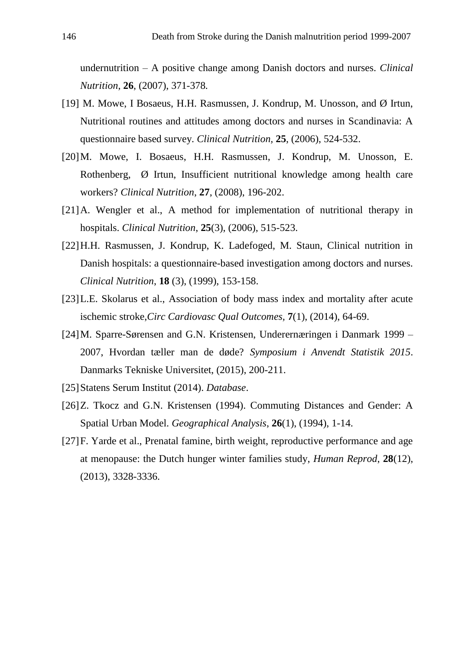undernutrition – A positive change among Danish doctors and nurses. *Clinical Nutrition*, **26**, (2007), 371-378*.*

- [19] M. Mowe, I Bosaeus, H.H. Rasmussen, J. Kondrup, M. Unosson, and Ø Irtun, Nutritional routines and attitudes among doctors and nurses in Scandinavia: A questionnaire based survey. *Clinical Nutrition,* **25**, (2006), 524-532.
- [20]M. Mowe, I. Bosaeus, H.H. Rasmussen, J. Kondrup, M. Unosson, E. Rothenberg, Ø Irtun, Insufficient nutritional knowledge among health care workers? *Clinical Nutrition*, **27**, (2008), 196-202.
- [21]A. Wengler et al., A method for implementation of nutritional therapy in hospitals. *Clinical Nutrition*, **25**(3), (2006), 515-523.
- [22]H.H. Rasmussen, J. Kondrup, K. Ladefoged, M. Staun, Clinical nutrition in Danish hospitals: a questionnaire-based investigation among doctors and nurses. *Clinical Nutrition*, **18** (3), (1999), 153-158.
- [23]L.E. Skolarus et al., Association of body mass index and mortality after acute ischemic stroke,*Circ Cardiovasc Qual Outcomes,* **7**(1), (2014), 64-69.
- [24]M. Sparre-Sørensen and G.N. Kristensen, Underernæringen i Danmark 1999 2007, Hvordan tæller man de døde? *Symposium i Anvendt Statistik 2015*. Danmarks Tekniske Universitet, (2015), 200-211.
- [25]Statens Serum Institut (2014). *Database*.
- [26]Z. Tkocz and G.N. Kristensen (1994). Commuting Distances and Gender: A Spatial Urban Model. *Geographical Analysis*, **26**(1), (1994), 1-14.
- [27]F. Yarde et al., Prenatal famine, birth weight, reproductive performance and age at menopause: the Dutch hunger winter families study, *Human Reprod*, **28**(12), (2013), 3328-3336.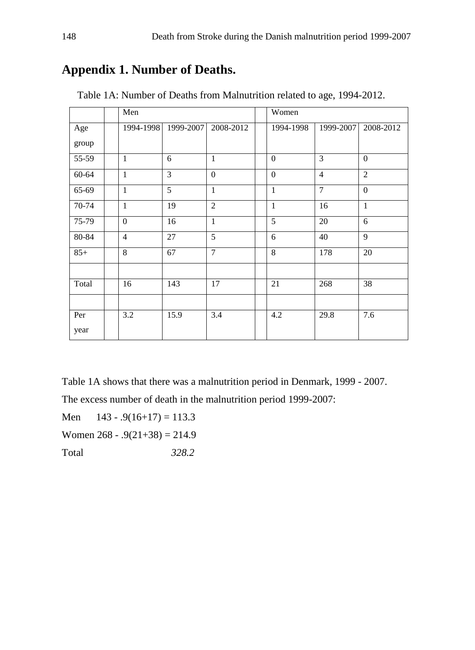## **Appendix 1. Number of Deaths.**

|       | Men            |                |                  | Women            |                |                  |  |  |
|-------|----------------|----------------|------------------|------------------|----------------|------------------|--|--|
| Age   | 1994-1998      | 1999-2007      | 2008-2012        | 1994-1998        | 1999-2007      | 2008-2012        |  |  |
| group |                |                |                  |                  |                |                  |  |  |
| 55-59 | $\mathbf{1}$   | 6              | $\mathbf{1}$     | $\boldsymbol{0}$ | 3              | $\boldsymbol{0}$ |  |  |
| 60-64 | $\mathbf{1}$   | $\overline{3}$ | $\boldsymbol{0}$ | $\overline{0}$   | $\overline{4}$ | $\overline{2}$   |  |  |
| 65-69 | $\mathbf{1}$   | $\overline{5}$ | $\mathbf{1}$     | $\mathbf{1}$     | $\overline{7}$ | $\overline{0}$   |  |  |
| 70-74 | $\overline{1}$ | 19             | $\overline{2}$   | $\mathbf{1}$     | 16             | $\mathbf{1}$     |  |  |
| 75-79 | $\overline{0}$ | 16             | $\mathbf{1}$     | 5                | 20             | 6                |  |  |
| 80-84 | $\overline{4}$ | 27             | $\overline{5}$   | 6                | 40             | $\overline{9}$   |  |  |
| $85+$ | $\overline{8}$ | 67             | $\overline{7}$   | 8                | 178            | 20               |  |  |
|       |                |                |                  |                  |                |                  |  |  |
| Total | 16             | 143            | 17               | 21               | 268            | 38               |  |  |
|       |                |                |                  |                  |                |                  |  |  |
| Per   | 3.2            | 15.9           | 3.4              | 4.2              | 29.8           | 7.6              |  |  |
| year  |                |                |                  |                  |                |                  |  |  |

Table 1A: Number of Deaths from Malnutrition related to age, 1994-2012.

Table 1A shows that there was a malnutrition period in Denmark, 1999 - 2007.

The excess number of death in the malnutrition period 1999-2007:

Men  $143 - .9(16+17) = 113.3$ Women  $268 - .9(21 + 38) = 214.9$ Total *328.2*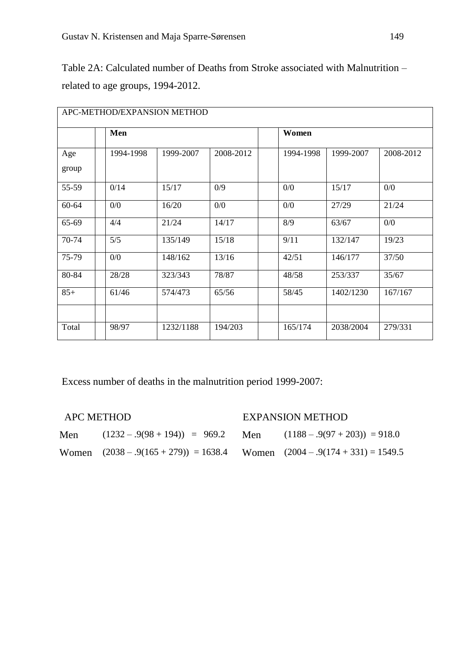Table 2A: Calculated number of Deaths from Stroke associated with Malnutrition – related to age groups, 1994-2012.

| APC-METHOD/EXPANSION METHOD |           |           |           |           |           |           |  |  |  |
|-----------------------------|-----------|-----------|-----------|-----------|-----------|-----------|--|--|--|
|                             | Men       |           |           | Women     |           |           |  |  |  |
| Age<br>group                | 1994-1998 | 1999-2007 | 2008-2012 | 1994-1998 | 1999-2007 | 2008-2012 |  |  |  |
| 55-59                       | 0/14      | 15/17     | 0/9       | 0/0       | 15/17     | 0/0       |  |  |  |
| $60 - 64$                   | 0/0       | 16/20     | 0/0       | 0/0       | 27/29     | 21/24     |  |  |  |
| 65-69                       | 4/4       | 21/24     | 14/17     | 8/9       | 63/67     | 0/0       |  |  |  |
| 70-74                       | 5/5       | 135/149   | 15/18     | 9/11      | 132/147   | 19/23     |  |  |  |
| 75-79                       | 0/0       | 148/162   | 13/16     | 42/51     | 146/177   | 37/50     |  |  |  |
| 80-84                       | 28/28     | 323/343   | 78/87     | 48/58     | 253/337   | 35/67     |  |  |  |
| $85+$                       | 61/46     | 574/473   | 65/56     | 58/45     | 1402/1230 | 167/167   |  |  |  |
| Total                       | 98/97     | 1232/1188 | 194/203   | 165/174   | 2038/2004 | 279/331   |  |  |  |

Excess number of deaths in the malnutrition period 1999-2007:

| <b>APC METHOD</b> |  |
|-------------------|--|
|-------------------|--|

## EXPANSION METHOD

| Men | $(1232 - .9(98 + 194)) = 969.2$ Men                                             | $(1188 - .9(97 + 203)) = 918.0$ |
|-----|---------------------------------------------------------------------------------|---------------------------------|
|     | Women $(2038 - .9(165 + 279)) = 1638.4$ Women $(2004 - .9(174 + 331)) = 1549.5$ |                                 |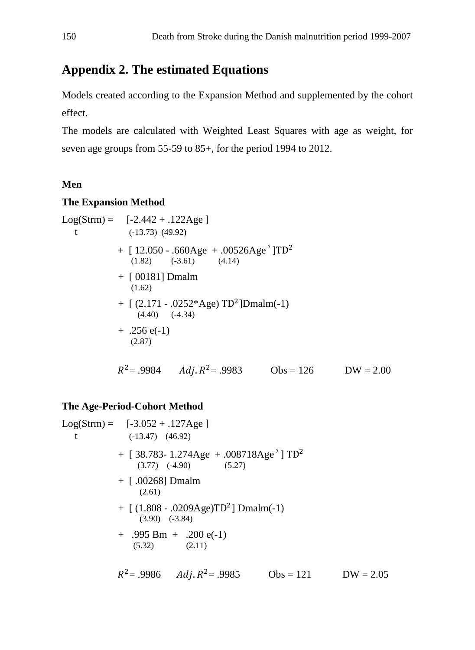## **Appendix 2. The estimated Equations**

Models created according to the Expansion Method and supplemented by the cohort effect.

The models are calculated with Weighted Least Squares with age as weight, for seven age groups from 55-59 to 85+, for the period 1994 to 2012.

### **Men**

#### **The Expansion Method**

Log(String) = [-2.442 + .122Age]  
\nt = (-13.73) (49.92)  
\n+ [ 12.050 - .660Age + .00526Age<sup>2</sup> ]TD<sup>2</sup>  
\n(1.82) (-3.61) (4.14)  
\n+ [ 00181] Dmain  
\n(1.62)  
\n+ [ (2.171 - .0252\*Age) TD<sup>2</sup> ]Dmain(-1)  
\n(4.40) (-4.34)  
\n+ .256 e(-1)  
\n(2.87)  
\n
$$
R^2
$$
= .9984 *Adj*.  $R^2$ = .9983 Obs = 126 DW = 2.00

#### **The Age-Period-Cohort Method**

 $Log(Strm) = [-3.052 + .127Age]$ t  $(-13.47)$   $(46.92)$  $+$  [ 38.783- 1.274Age  $+$  .008718Age<sup>2</sup> ] TD<sup>2</sup>  $(3.77)$   $(-4.90)$   $(5.27)$ + [ .00268] Dmalm (2.61)  $+$  [ (1.808 - .0209Age)TD<sup>2</sup>] Dmalm(-1) (3.90) (-3.84)  $+$  .995 Bm  $+$  .200 e(-1)  $(5.32)$   $(2.11)$  $R^2$  = .9986 Adj.  $R^2$  = .9985 Obs = 121 DW = 2.05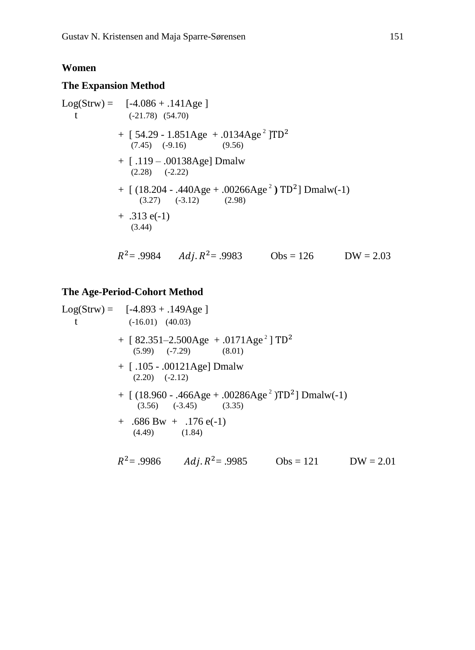#### **Women**

#### **The Expansion Method**

 $Log(Strw) = [-4.086 + .141Age]$ t  $(-21.78)$   $(54.70)$ + [ 54.29 - 1.851Age + .0134Age<sup>2</sup> ]TD<sup>2</sup>  $(7.45)$   $(-9.16)$   $(9.56)$ + [ .119 – .00138Age] Dmalw (2.28) (-2.22)  $+$  [ (18.204 - .440Age + .00266Age<sup>2</sup>) TD<sup>2</sup>] Dmalw(-1)  $(3.27)$   $(-3.12)$   $(2.98)$  $+ .313 e(-1)$  (3.44)  $R^2 = .9984$  *Adj.R*  $Obs = 126$  DW = 2.03

#### **The Age-Period-Cohort Method**

 $Log(Strw) = [-4.893 + .149Age]$ t  $(-16.01)$   $(40.03)$  $+$  [ 82.351–2.500Age  $+$  .0171Age<sup>2</sup> ] TD<sup>2</sup>  $(5.99)$   $(-7.29)$   $(8.01)$ + [ .105 - .00121Age] Dmalw (2.20) (-2.12)  $+$  [ (18.960 - .466Age + .00286Age<sup>2</sup>)TD<sup>2</sup>] Dmalw(-1)  $(3.56)$   $(-3.45)$   $(3.35)$  $+$  .686 Bw  $+$  .176 e(-1) (4.49) (1.84)  $R^2$  = .9986  $Adj. R^2$  = .9985 Obs = 121 DW = 2.01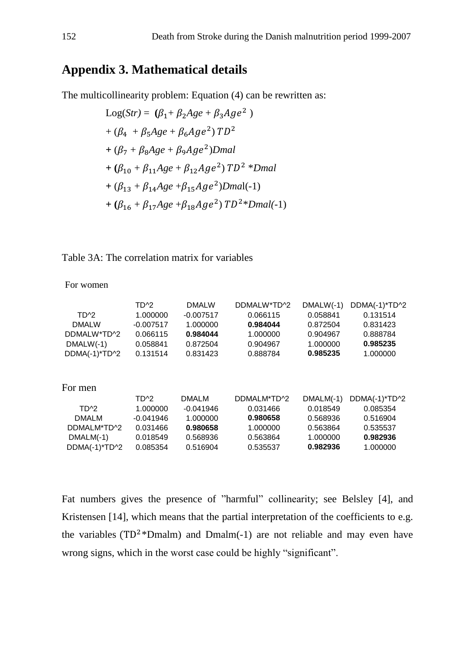## **Appendix 3. Mathematical details**

The multicollinearity problem: Equation (4) can be rewritten as:

Log(Str) = 
$$
(\beta_1 + \beta_2 Age + \beta_3Age^2)
$$
  
+  $(\beta_4 + \beta_5Age + \beta_6Age^2) TD^2$   
+  $(\beta_7 + \beta_8 Age + \beta_9Age^2) Dmal$   
+  $(\beta_{10} + \beta_{11} Age + \beta_{12} Age^2) TD^2 * Dmal$   
+  $(\beta_{13} + \beta_{14} Age + \beta_{15} Age^2) Dmal(-1)$   
+  $(\beta_{16} + \beta_{17} Age + \beta_{18} Age^2) TD^2 * Dmal(-1)$ 

## Table 3A: The correlation matrix for variables

For women

|                   | TD <sup>^2</sup>  | <b>DMALW</b> | DDMALW*TD^2 | $DMALW(-1)$ | DDMA(-1)*TD^2 |
|-------------------|-------------------|--------------|-------------|-------------|---------------|
| TD <sup>A</sup> 2 | 1.000000          | $-0.007517$  | 0.066115    | 0.058841    | 0.131514      |
| <b>DMALW</b>      | $-0.007517$       | 1.000000     | 0.984044    | 0.872504    | 0.831423      |
| DDMALW*TD^2       | 0.066115          | 0.984044     | 1.000000    | 0.904967    | 0.888784      |
| $DMALW(-1)$       | 0.058841          | 0.872504     | 0.904967    | 1.000000    | 0.985235      |
| DDMA(-1)*TD^2     | 0.131514          | 0.831423     | 0.888784    | 0.985235    | 1.000000      |
| For men           |                   |              |             |             |               |
|                   | TD <sup>A</sup> 2 | <b>DMALM</b> | DDMALM*TD^2 | $DMALM(-1)$ | DDMA(-1)*TD^2 |
| TD <sup>A</sup> 2 | 1.000000          | $-0.041946$  | 0.031466    | 0.018549    | 0.085354      |
| <b>DMALM</b>      | $-0.041946$       | 1.000000     | 0.980658    | 0.568936    | 0.516904      |
| DDMALM*TD^2       | 0.031466          | 0.980658     | 1.000000    | 0.563864    | 0.535537      |
| $DMALM(-1)$       | 0.018549          | 0.568936     | 0.563864    | 1.000000    | 0.982936      |
| DDMA(-1)*TD^2     | 0.085354          | 0.516904     | 0.535537    | 0.982936    | 1.000000      |

Fat numbers gives the presence of "harmful" collinearity; see Belsley [4], and Kristensen [14], which means that the partial interpretation of the coefficients to e.g. the variables ( $TD^2*Dmalm$ ) and  $Dmalm(-1)$  are not reliable and may even have wrong signs, which in the worst case could be highly "significant".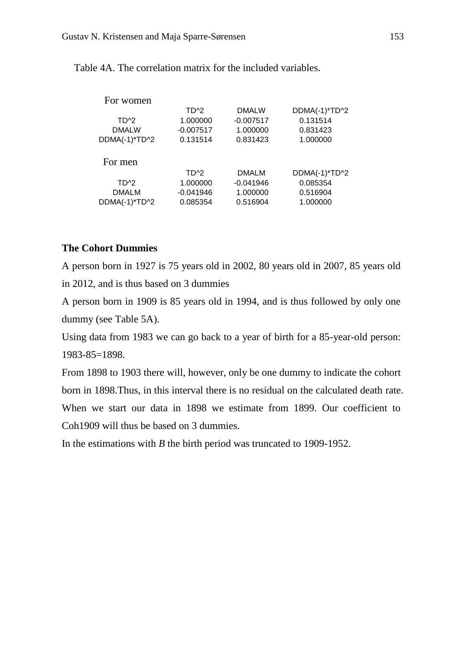| TD <sup>^2</sup>  | <b>DMALW</b> | DDMA(-1)*TD^2 |
|-------------------|--------------|---------------|
| 1.000000          | $-0.007517$  | 0.131514      |
| $-0.007517$       | 1.000000     | 0.831423      |
| 0.131514          | 0.831423     | 1.000000      |
|                   |              |               |
| TD <sup>A</sup> 2 | <b>DMALM</b> | DDMA(-1)*TD^2 |
| 1.000000          | $-0.041946$  | 0.085354      |
| $-0.041946$       | 1.000000     | 0.516904      |
| 0.085354          | 0.516904     | 1.000000      |
|                   |              |               |

Table 4A. The correlation matrix for the included variables.

## **The Cohort Dummies**

A person born in 1927 is 75 years old in 2002, 80 years old in 2007, 85 years old in 2012, and is thus based on 3 dummies

A person born in 1909 is 85 years old in 1994, and is thus followed by only one dummy (see Table 5A).

Using data from 1983 we can go back to a year of birth for a 85-year-old person: 1983-85=1898.

From 1898 to 1903 there will, however, only be one dummy to indicate the cohort born in 1898.Thus, in this interval there is no residual on the calculated death rate. When we start our data in 1898 we estimate from 1899. Our coefficient to Coh1909 will thus be based on 3 dummies.

In the estimations with *B* the birth period was truncated to 1909-1952.